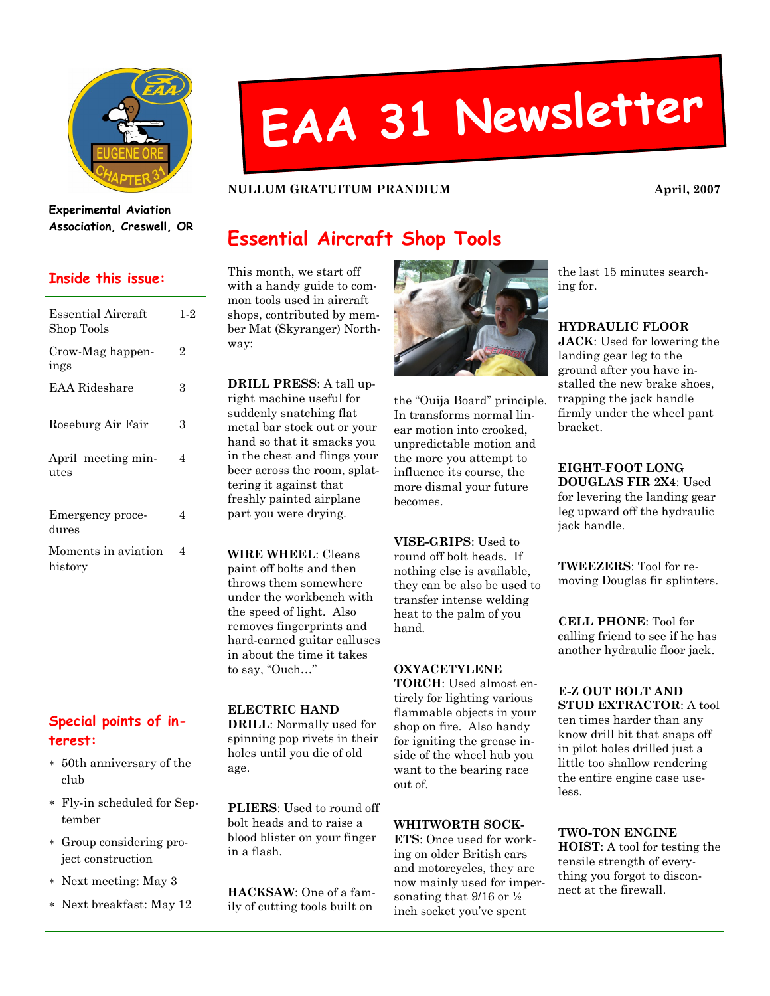

# EAA <sup>31</sup> Newsletter

NULLUM GRATUITUM PRANDIUM April, 2007

Experimental Aviation Association, Creswell, OR

## Inside this issue:

| Essential Aircraft<br>$1-2$<br>Shop Tools<br>Crow-Mag happen-<br>2<br>ings<br>EAA Rideshare<br>3<br>Roseburg Air Fair<br>3<br>April meeting min-<br>4<br>utes<br>4<br>Emergency proce-<br>dures<br>Moments in aviation<br>4<br>history |  |
|----------------------------------------------------------------------------------------------------------------------------------------------------------------------------------------------------------------------------------------|--|
|                                                                                                                                                                                                                                        |  |
|                                                                                                                                                                                                                                        |  |
|                                                                                                                                                                                                                                        |  |
|                                                                                                                                                                                                                                        |  |
|                                                                                                                                                                                                                                        |  |
|                                                                                                                                                                                                                                        |  |
|                                                                                                                                                                                                                                        |  |

## Special points of interest:

- ∗ 50th anniversary of the club
- ∗ Fly-in scheduled for September
- ∗ Group considering project construction
- ∗ Next meeting: May 3
- ∗ Next breakfast: May 12

## Essential Aircraft Shop Tools

This month, we start off with a handy guide to common tools used in aircraft shops, contributed by member Mat (Skyranger) Northway:

DRILL PRESS: A tall upright machine useful for suddenly snatching flat metal bar stock out or your hand so that it smacks you in the chest and flings your beer across the room, splattering it against that freshly painted airplane part you were drying.

WIRE WHEEL: Cleans paint off bolts and then throws them somewhere under the workbench with the speed of light. Also removes fingerprints and hard-earned guitar calluses in about the time it takes to say, "Ouch…"

#### ELECTRIC HAND DRILL: Normally used for spinning pop rivets in their holes until you die of old age.

PLIERS: Used to round off bolt heads and to raise a blood blister on your finger in a flash.

HACKSAW: One of a family of cutting tools built on



the "Ouija Board" principle. In transforms normal linear motion into crooked, unpredictable motion and the more you attempt to influence its course, the more dismal your future becomes.

VISE-GRIPS: Used to round off bolt heads. If nothing else is available, they can be also be used to transfer intense welding heat to the palm of you hand.

#### OXYACETYLENE

TORCH: Used almost entirely for lighting various flammable objects in your shop on fire. Also handy for igniting the grease inside of the wheel hub you want to the bearing race out of.

#### WHITWORTH SOCK-

ETS: Once used for working on older British cars and motorcycles, they are now mainly used for impersonating that  $9/16$  or  $\frac{1}{2}$ inch socket you've spent

the last 15 minutes searching for.

#### HYDRAULIC FLOOR

JACK: Used for lowering the landing gear leg to the ground after you have installed the new brake shoes, trapping the jack handle firmly under the wheel pant bracket.

EIGHT-FOOT LONG DOUGLAS FIR 2X4: Used for levering the landing gear leg upward off the hydraulic jack handle.

TWEEZERS: Tool for removing Douglas fir splinters.

CELL PHONE: Tool for calling friend to see if he has another hydraulic floor jack.

E-Z OUT BOLT AND STUD EXTRACTOR: A tool

ten times harder than any know drill bit that snaps off in pilot holes drilled just a little too shallow rendering the entire engine case useless.

TWO-TON ENGINE HOIST: A tool for testing the tensile strength of everything you forgot to disconnect at the firewall.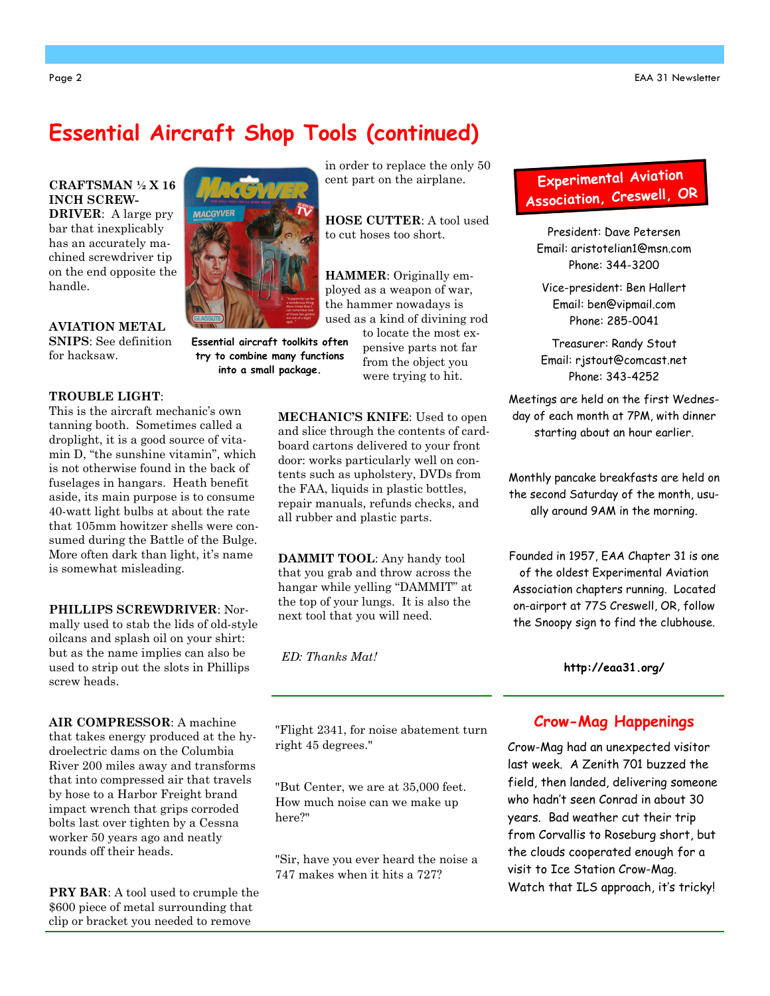# Essential Aircraft Shop Tools (continued)

CRAFTSMAN ½ X 16 INCH SCREW-

DRIVER: A large pry bar that inexplicably has an accurately machined screwdriver tip on the end opposite the handle.

AVIATION METAL SNIPS: See definition for hacksaw.

#### TROUBLE LIGHT:

This is the aircraft mechanic's own tanning booth. Sometimes called a droplight, it is a good source of vitamin D, "the sunshine vitamin", which is not otherwise found in the back of fuselages in hangars. Heath benefit aside, its main purpose is to consume 40-watt light bulbs at about the rate that 105mm howitzer shells were consumed during the Battle of the Bulge. More often dark than light, it's name is somewhat misleading.

PHILLIPS SCREWDRIVER: Normally used to stab the lids of old-style oilcans and splash oil on your shirt: but as the name implies can also be used to strip out the slots in Phillips screw heads.

AIR COMPRESSOR: A machine that takes energy produced at the hydroelectric dams on the Columbia River 200 miles away and transforms that into compressed air that travels by hose to a Harbor Freight brand impact wrench that grips corroded bolts last over tighten by a Cessna worker 50 years ago and neatly rounds off their heads.

PRY BAR: A tool used to crumple the \$600 piece of metal surrounding that clip or bracket you needed to remove

in order to replace the only 50 cent part on the airplane.

HOSE CUTTER: A tool used to cut hoses too short.

HAMMER: Originally employed as a weapon of war, the hammer nowadays is used as a kind of divining rod to locate the most ex-

pensive parts not far from the object you were trying to hit. into a small package.

> MECHANIC'S KNIFE: Used to open and slice through the contents of cardboard cartons delivered to your front door: works particularly well on contents such as upholstery, DVDs from the FAA, liquids in plastic bottles, repair manuals, refunds checks, and all rubber and plastic parts.

DAMMIT TOOL: Any handy tool that you grab and throw across the hangar while yelling "DAMMIT" at the top of your lungs. It is also the next tool that you will need.

ED: Thanks Mat!

"Flight 2341, for noise abatement turn right 45 degrees."

"But Center, we are at 35,000 feet. How much noise can we make up here?"

"Sir, have you ever heard the noise a 747 makes when it hits a 727?

## Experimenta<sup>l</sup> Aviation Association, Creswell, OR

President: Dave Petersen Email: aristotelian1@msn.com Phone: 344-3200

Vice-president: Ben Hallert Email: ben@vipmail.com Phone: 285-0041

Treasurer: Randy Stout Email: rjstout@comcast.net Phone: 343-4252

Meetings are held on the first Wednesday of each month at 7PM, with dinner starting about an hour earlier.

Monthly pancake breakfasts are held on the second Saturday of the month, usually around 9AM in the morning.

Founded in 1957, EAA Chapter 31 is one of the oldest Experimental Aviation Association chapters running. Located on-airport at 77S Creswell, OR, follow the Snoopy sign to find the clubhouse.

http://eaa31.org/

## Crow-Mag Happenings

Crow-Mag had an unexpected visitor last week. A Zenith 701 buzzed the field, then landed, delivering someone who hadn't seen Conrad in about 30 years. Bad weather cut their trip from Corvallis to Roseburg short, but the clouds cooperated enough for a visit to Ice Station Crow-Mag. Watch that ILS approach, it's tricky!



Essential aircraft toolkits often try to combine many functions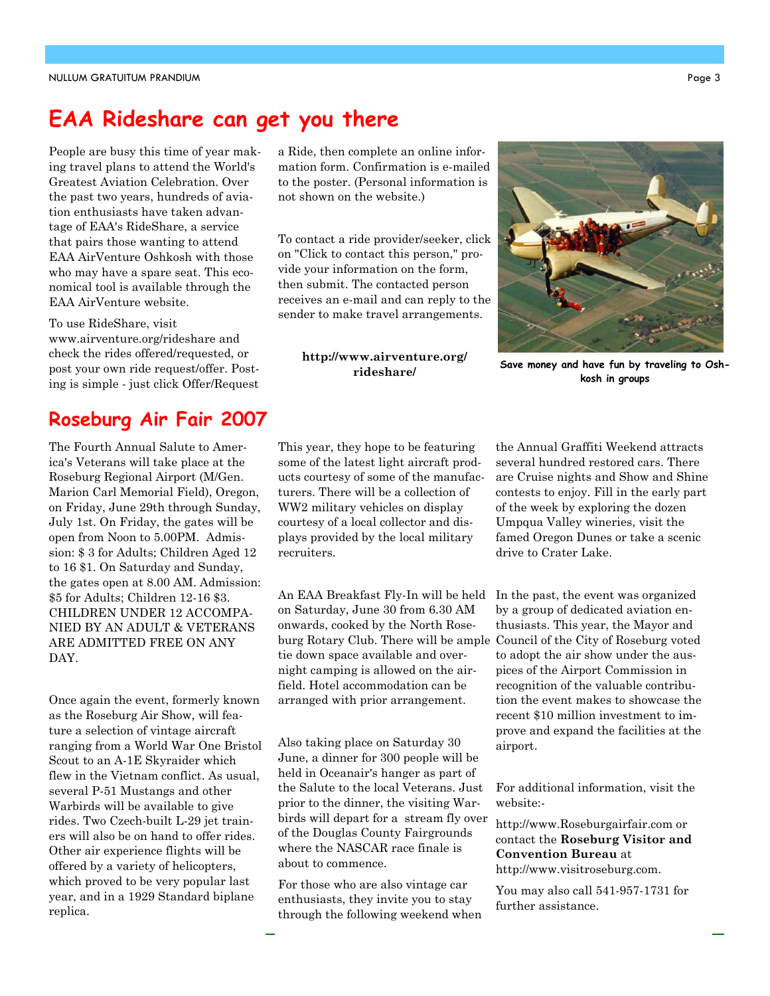# EAA Rideshare can get you there

People are busy this time of year making travel plans to attend the World's Greatest Aviation Celebration. Over the past two years, hundreds of aviation enthusiasts have taken advantage of EAA's RideShare, a service that pairs those wanting to attend EAA AirVenture Oshkosh with those who may have a spare seat. This economical tool is available through the EAA AirVenture website.

To use RideShare, visit www.airventure.org/rideshare and check the rides offered/requested, or post your own ride request/offer. Posting is simple - just click Offer/Request

## Roseburg Air Fair 2007

The Fourth Annual Salute to America's Veterans will take place at the Roseburg Regional Airport (M/Gen. Marion Carl Memorial Field), Oregon, on Friday, June 29th through Sunday, July 1st. On Friday, the gates will be open from Noon to 5.00PM. Admission: \$ 3 for Adults; Children Aged 12 to 16 \$1. On Saturday and Sunday, the gates open at 8.00 AM. Admission: \$5 for Adults; Children 12-16 \$3. CHILDREN UNDER 12 ACCOMPA-NIED BY AN ADULT & VETERANS ARE ADMITTED FREE ON ANY DAY.

Once again the event, formerly known as the Roseburg Air Show, will feature a selection of vintage aircraft ranging from a World War One Bristol Scout to an A-1E Skyraider which flew in the Vietnam conflict. As usual, several P-51 Mustangs and other Warbirds will be available to give rides. Two Czech-built L-29 jet trainers will also be on hand to offer rides. Other air experience flights will be offered by a variety of helicopters, which proved to be very popular last year, and in a 1929 Standard biplane replica.

a Ride, then complete an online information form. Confirmation is e-mailed to the poster. (Personal information is not shown on the website.)

To contact a ride provider/seeker, click on "Click to contact this person," provide your information on the form, then submit. The contacted person receives an e-mail and can reply to the sender to make travel arrangements.

#### http://www.airventure.org/ rideshare/

the Annual Graffiti Weekend attracts several hundred restored cars. There are Cruise nights and Show and Shine contests to enjoy. Fill in the early part of the week by exploring the dozen Umpqua Valley wineries, visit the famed Oregon Dunes or take a scenic drive to Crater Lake.

In the past, the event was organized by a group of dedicated aviation enthusiasts. This year, the Mayor and to adopt the air show under the auspices of the Airport Commission in recognition of the valuable contribution the event makes to showcase the recent \$10 million investment to improve and expand the facilities at the airport.

For additional information, visit the website:-

http://www.Roseburgairfair.com or contact the Roseburg Visitor and Convention Bureau at http://www.visitroseburg.com.

You may also call 541-957-1731 for further assistance.

This year, they hope to be featuring some of the latest light aircraft products courtesy of some of the manufacturers. There will be a collection of WW2 military vehicles on display courtesy of a local collector and displays provided by the local military recruiters.

An EAA Breakfast Fly-In will be held on Saturday, June 30 from 6.30 AM onwards, cooked by the North Roseburg Rotary Club. There will be ample Council of the City of Roseburg voted tie down space available and overnight camping is allowed on the airfield. Hotel accommodation can be arranged with prior arrangement.

Also taking place on Saturday 30 June, a dinner for 300 people will be held in Oceanair's hanger as part of the Salute to the local Veterans. Just prior to the dinner, the visiting Warbirds will depart for a stream fly over of the Douglas County Fairgrounds where the NASCAR race finale is about to commence.

For those who are also vintage car enthusiasts, they invite you to stay through the following weekend when



Save money and have fun by traveling to Oshkosh in groups